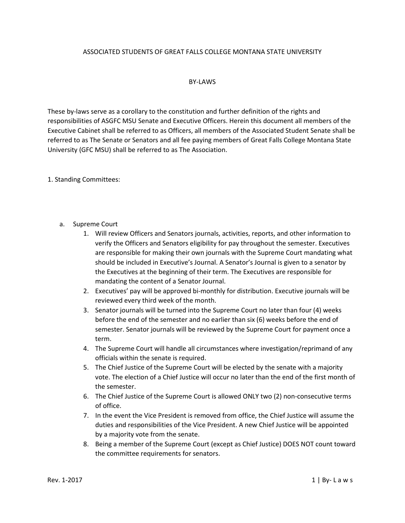## ASSOCIATED STUDENTS OF GREAT FALLS COLLEGE MONTANA STATE UNIVERSITY

## BY-LAWS

These by-laws serve as a corollary to the constitution and further definition of the rights and responsibilities of ASGFC MSU Senate and Executive Officers. Herein this document all members of the Executive Cabinet shall be referred to as Officers, all members of the Associated Student Senate shall be referred to as The Senate or Senators and all fee paying members of Great Falls College Montana State University (GFC MSU) shall be referred to as The Association.

1. Standing Committees:

- a. Supreme Court
	- 1. Will review Officers and Senators journals, activities, reports, and other information to verify the Officers and Senators eligibility for pay throughout the semester. Executives are responsible for making their own journals with the Supreme Court mandating what should be included in Executive's Journal. A Senator's Journal is given to a senator by the Executives at the beginning of their term. The Executives are responsible for mandating the content of a Senator Journal.
	- 2. Executives' pay will be approved bi-monthly for distribution. Executive journals will be reviewed every third week of the month.
	- 3. Senator journals will be turned into the Supreme Court no later than four (4) weeks before the end of the semester and no earlier than six (6) weeks before the end of semester. Senator journals will be reviewed by the Supreme Court for payment once a term.
	- 4. The Supreme Court will handle all circumstances where investigation/reprimand of any officials within the senate is required.
	- 5. The Chief Justice of the Supreme Court will be elected by the senate with a majority vote. The election of a Chief Justice will occur no later than the end of the first month of the semester.
	- 6. The Chief Justice of the Supreme Court is allowed ONLY two (2) non-consecutive terms of office.
	- 7. In the event the Vice President is removed from office, the Chief Justice will assume the duties and responsibilities of the Vice President. A new Chief Justice will be appointed by a majority vote from the senate.
	- 8. Being a member of the Supreme Court (except as Chief Justice) DOES NOT count toward the committee requirements for senators.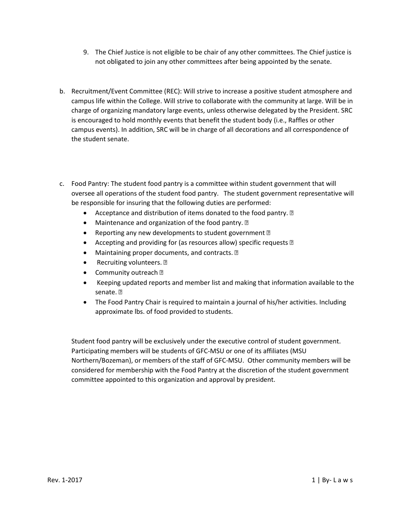- 9. The Chief Justice is not eligible to be chair of any other committees. The Chief justice is not obligated to join any other committees after being appointed by the senate.
- b. Recruitment/Event Committee (REC): Will strive to increase a positive student atmosphere and campus life within the College. Will strive to collaborate with the community at large. Will be in charge of organizing mandatory large events, unless otherwise delegated by the President. SRC is encouraged to hold monthly events that benefit the student body (i.e., Raffles or other campus events). In addition, SRC will be in charge of all decorations and all correspondence of the student senate.
- c. Food Pantry: The student food pantry is a committee within student government that will oversee all operations of the student food pantry. The student government representative will be responsible for insuring that the following duties are performed:
	- Acceptance and distribution of items donated to the food pantry. 2
	- Maintenance and organization of the food pantry. 2
	- Reporting any new developments to student government **D**
	- Accepting and providing for (as resources allow) specific requests **a**
	- Maintaining proper documents, and contracts. 2
	- Recruiting volunteers. ?
	- Community outreach ?
	- Keeping updated reports and member list and making that information available to the senate. **n**
	- The Food Pantry Chair is required to maintain a journal of his/her activities. Including approximate lbs. of food provided to students.

Student food pantry will be exclusively under the executive control of student government. Participating members will be students of GFC-MSU or one of its affiliates (MSU Northern/Bozeman), or members of the staff of GFC-MSU. Other community members will be considered for membership with the Food Pantry at the discretion of the student government committee appointed to this organization and approval by president.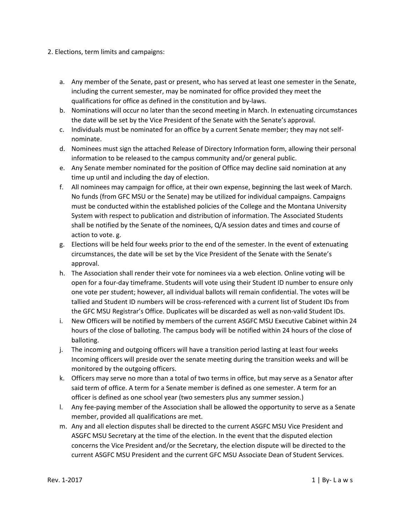- 2. Elections, term limits and campaigns:
	- a. Any member of the Senate, past or present, who has served at least one semester in the Senate, including the current semester, may be nominated for office provided they meet the qualifications for office as defined in the constitution and by-laws.
	- b. Nominations will occur no later than the second meeting in March. In extenuating circumstances the date will be set by the Vice President of the Senate with the Senate's approval.
	- c. Individuals must be nominated for an office by a current Senate member; they may not selfnominate.
	- d. Nominees must sign the attached Release of Directory Information form, allowing their personal information to be released to the campus community and/or general public.
	- e. Any Senate member nominated for the position of Office may decline said nomination at any time up until and including the day of election.
	- f. All nominees may campaign for office, at their own expense, beginning the last week of March. No funds (from GFC MSU or the Senate) may be utilized for individual campaigns. Campaigns must be conducted within the established policies of the College and the Montana University System with respect to publication and distribution of information. The Associated Students shall be notified by the Senate of the nominees, Q/A session dates and times and course of action to vote. g.
	- g. Elections will be held four weeks prior to the end of the semester. In the event of extenuating circumstances, the date will be set by the Vice President of the Senate with the Senate's approval.
	- h. The Association shall render their vote for nominees via a web election. Online voting will be open for a four-day timeframe. Students will vote using their Student ID number to ensure only one vote per student; however, all individual ballots will remain confidential. The votes will be tallied and Student ID numbers will be cross-referenced with a current list of Student IDs from the GFC MSU Registrar's Office. Duplicates will be discarded as well as non-valid Student IDs.
	- i. New Officers will be notified by members of the current ASGFC MSU Executive Cabinet within 24 hours of the close of balloting. The campus body will be notified within 24 hours of the close of balloting.
	- j. The incoming and outgoing officers will have a transition period lasting at least four weeks Incoming officers will preside over the senate meeting during the transition weeks and will be monitored by the outgoing officers.
	- k. Officers may serve no more than a total of two terms in office, but may serve as a Senator after said term of office. A term for a Senate member is defined as one semester. A term for an officer is defined as one school year (two semesters plus any summer session.)
	- l. Any fee-paying member of the Association shall be allowed the opportunity to serve as a Senate member, provided all qualifications are met.
	- m. Any and all election disputes shall be directed to the current ASGFC MSU Vice President and ASGFC MSU Secretary at the time of the election. In the event that the disputed election concerns the Vice President and/or the Secretary, the election dispute will be directed to the current ASGFC MSU President and the current GFC MSU Associate Dean of Student Services.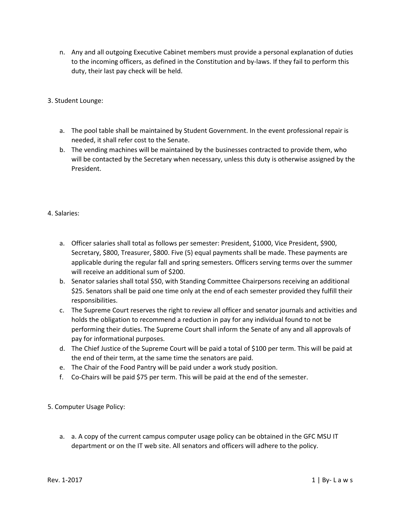- n. Any and all outgoing Executive Cabinet members must provide a personal explanation of duties to the incoming officers, as defined in the Constitution and by-laws. If they fail to perform this duty, their last pay check will be held.
- 3. Student Lounge:
	- a. The pool table shall be maintained by Student Government. In the event professional repair is needed, it shall refer cost to the Senate.
	- b. The vending machines will be maintained by the businesses contracted to provide them, who will be contacted by the Secretary when necessary, unless this duty is otherwise assigned by the President.
- 4. Salaries:
	- a. Officer salaries shall total as follows per semester: President, \$1000, Vice President, \$900, Secretary, \$800, Treasurer, \$800. Five (5) equal payments shall be made. These payments are applicable during the regular fall and spring semesters. Officers serving terms over the summer will receive an additional sum of \$200.
	- b. Senator salaries shall total \$50, with Standing Committee Chairpersons receiving an additional \$25. Senators shall be paid one time only at the end of each semester provided they fulfill their responsibilities.
	- c. The Supreme Court reserves the right to review all officer and senator journals and activities and holds the obligation to recommend a reduction in pay for any individual found to not be performing their duties. The Supreme Court shall inform the Senate of any and all approvals of pay for informational purposes.
	- d. The Chief Justice of the Supreme Court will be paid a total of \$100 per term. This will be paid at the end of their term, at the same time the senators are paid.
	- e. The Chair of the Food Pantry will be paid under a work study position.
	- f. Co-Chairs will be paid \$75 per term. This will be paid at the end of the semester.
- 5. Computer Usage Policy:
	- a. a. A copy of the current campus computer usage policy can be obtained in the GFC MSU IT department or on the IT web site. All senators and officers will adhere to the policy.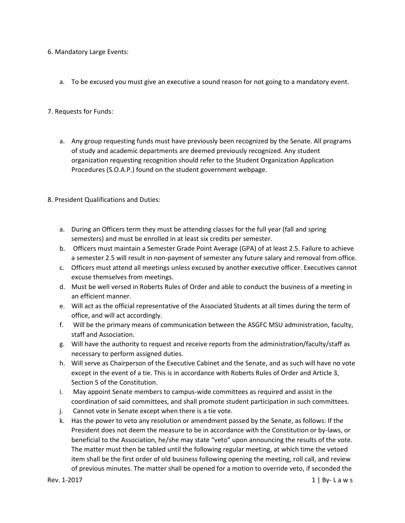- 6. Mandatory Large Events:
	- a. To be excused you must give an executive a sound reason for not going to a mandatory event.
- 7. Requests for Funds:
	- a. Any group requesting funds must have previously been recognized by the Senate. All programs of study and academic departments are deemed previously recognized. Any student organization requesting recognition should refer to the Student Organization Application Procedures (S.O.A.P.) found on the student government webpage.
- 8. President Qualifications and Duties:
	- a. During an Officers term they must be attending classes for the full year (fall and spring semesters) and must be enrolled in at least six credits per semester.
	- b. Officers must maintain a Semester Grade Point Average (GPA) of at least 2.5. Failure to achieve a semester 2.5 will result in non-payment of semester any future salary and removal from office.
	- c. Officers must attend all meetings unless excused by another executive officer. Executives cannot excuse themselves from meetings.
	- d. Must be well versed in Roberts Rules of Order and able to conduct the business of a meeting in an efficient manner.
	- e. Will act as the official representative of the Associated Students at all times during the term of office, and will act accordingly.
	- f. Will be the primary means of communication between the ASGFC MSU administration, faculty, staff and Association.
	- g. Will have the authority to request and receive reports from the administration/faculty/staff as necessary to perform assigned duties.
	- h. Will serve as Chairperson of the Executive Cabinet and the Senate, and as such will have no vote except in the event of a tie. This is in accordance with Roberts Rules of Order and Article 3, Section 5 of the Constitution.
	- i. May appoint Senate members to campus-wide committees as required and assist in the coordination of said committees, and shall promote student participation in such committees.
	- j. Cannot vote in Senate except when there is a tie vote.
	- k. Has the power to veto any resolution or amendment passed by the Senate, as follows: If the President does not deem the measure to be in accordance with the Constitution or by-laws, or beneficial to the Association, he/she may state "veto" upon announcing the results of the vote. The matter must then be tabled until the following regular meeting, at which time the vetoed item shall be the first order of old business following opening the meeting, roll call, and review of previous minutes. The matter shall be opened for a motion to override veto, if seconded the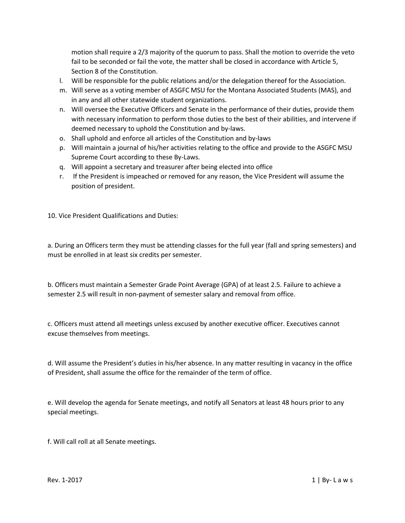motion shall require a 2/3 majority of the quorum to pass. Shall the motion to override the veto fail to be seconded or fail the vote, the matter shall be closed in accordance with Article 5, Section 8 of the Constitution.

- l. Will be responsible for the public relations and/or the delegation thereof for the Association.
- m. Will serve as a voting member of ASGFC MSU for the Montana Associated Students (MAS), and in any and all other statewide student organizations.
- n. Will oversee the Executive Officers and Senate in the performance of their duties, provide them with necessary information to perform those duties to the best of their abilities, and intervene if deemed necessary to uphold the Constitution and by-laws.
- o. Shall uphold and enforce all articles of the Constitution and by-laws
- p. Will maintain a journal of his/her activities relating to the office and provide to the ASGFC MSU Supreme Court according to these By-Laws.
- q. Will appoint a secretary and treasurer after being elected into office
- r. If the President is impeached or removed for any reason, the Vice President will assume the position of president.

10. Vice President Qualifications and Duties:

a. During an Officers term they must be attending classes for the full year (fall and spring semesters) and must be enrolled in at least six credits per semester.

b. Officers must maintain a Semester Grade Point Average (GPA) of at least 2.5. Failure to achieve a semester 2.5 will result in non-payment of semester salary and removal from office.

c. Officers must attend all meetings unless excused by another executive officer. Executives cannot excuse themselves from meetings.

d. Will assume the President's duties in his/her absence. In any matter resulting in vacancy in the office of President, shall assume the office for the remainder of the term of office.

e. Will develop the agenda for Senate meetings, and notify all Senators at least 48 hours prior to any special meetings.

f. Will call roll at all Senate meetings.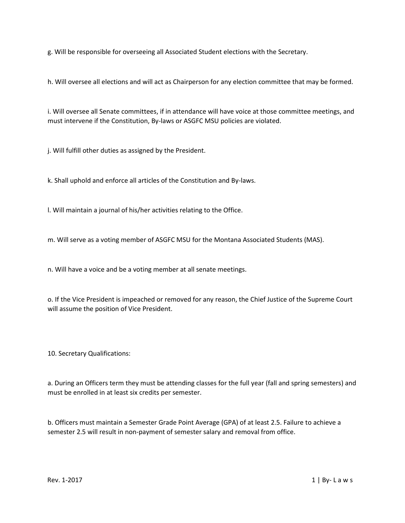g. Will be responsible for overseeing all Associated Student elections with the Secretary.

h. Will oversee all elections and will act as Chairperson for any election committee that may be formed.

i. Will oversee all Senate committees, if in attendance will have voice at those committee meetings, and must intervene if the Constitution, By-laws or ASGFC MSU policies are violated.

j. Will fulfill other duties as assigned by the President.

k. Shall uphold and enforce all articles of the Constitution and By-laws.

l. Will maintain a journal of his/her activities relating to the Office.

m. Will serve as a voting member of ASGFC MSU for the Montana Associated Students (MAS).

n. Will have a voice and be a voting member at all senate meetings.

o. If the Vice President is impeached or removed for any reason, the Chief Justice of the Supreme Court will assume the position of Vice President.

10. Secretary Qualifications:

a. During an Officers term they must be attending classes for the full year (fall and spring semesters) and must be enrolled in at least six credits per semester.

b. Officers must maintain a Semester Grade Point Average (GPA) of at least 2.5. Failure to achieve a semester 2.5 will result in non-payment of semester salary and removal from office.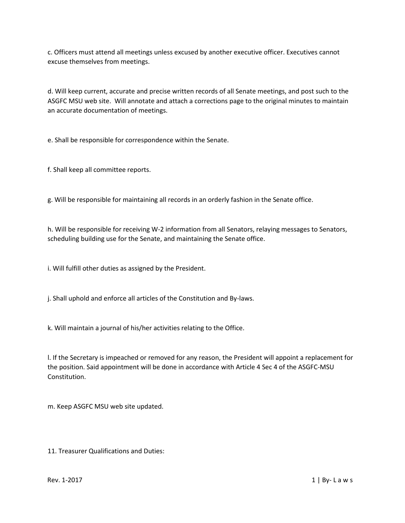c. Officers must attend all meetings unless excused by another executive officer. Executives cannot excuse themselves from meetings.

d. Will keep current, accurate and precise written records of all Senate meetings, and post such to the ASGFC MSU web site. Will annotate and attach a corrections page to the original minutes to maintain an accurate documentation of meetings.

e. Shall be responsible for correspondence within the Senate.

f. Shall keep all committee reports.

g. Will be responsible for maintaining all records in an orderly fashion in the Senate office.

h. Will be responsible for receiving W-2 information from all Senators, relaying messages to Senators, scheduling building use for the Senate, and maintaining the Senate office.

i. Will fulfill other duties as assigned by the President.

j. Shall uphold and enforce all articles of the Constitution and By-laws.

k. Will maintain a journal of his/her activities relating to the Office.

l. If the Secretary is impeached or removed for any reason, the President will appoint a replacement for the position. Said appointment will be done in accordance with Article 4 Sec 4 of the ASGFC-MSU Constitution.

m. Keep ASGFC MSU web site updated.

11. Treasurer Qualifications and Duties: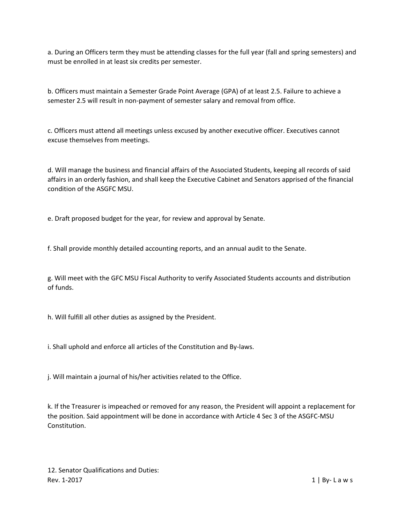a. During an Officers term they must be attending classes for the full year (fall and spring semesters) and must be enrolled in at least six credits per semester.

b. Officers must maintain a Semester Grade Point Average (GPA) of at least 2.5. Failure to achieve a semester 2.5 will result in non-payment of semester salary and removal from office.

c. Officers must attend all meetings unless excused by another executive officer. Executives cannot excuse themselves from meetings.

d. Will manage the business and financial affairs of the Associated Students, keeping all records of said affairs in an orderly fashion, and shall keep the Executive Cabinet and Senators apprised of the financial condition of the ASGFC MSU.

e. Draft proposed budget for the year, for review and approval by Senate.

f. Shall provide monthly detailed accounting reports, and an annual audit to the Senate.

g. Will meet with the GFC MSU Fiscal Authority to verify Associated Students accounts and distribution of funds.

h. Will fulfill all other duties as assigned by the President.

i. Shall uphold and enforce all articles of the Constitution and By-laws.

j. Will maintain a journal of his/her activities related to the Office.

k. If the Treasurer is impeached or removed for any reason, the President will appoint a replacement for the position. Said appointment will be done in accordance with Article 4 Sec 3 of the ASGFC-MSU Constitution.